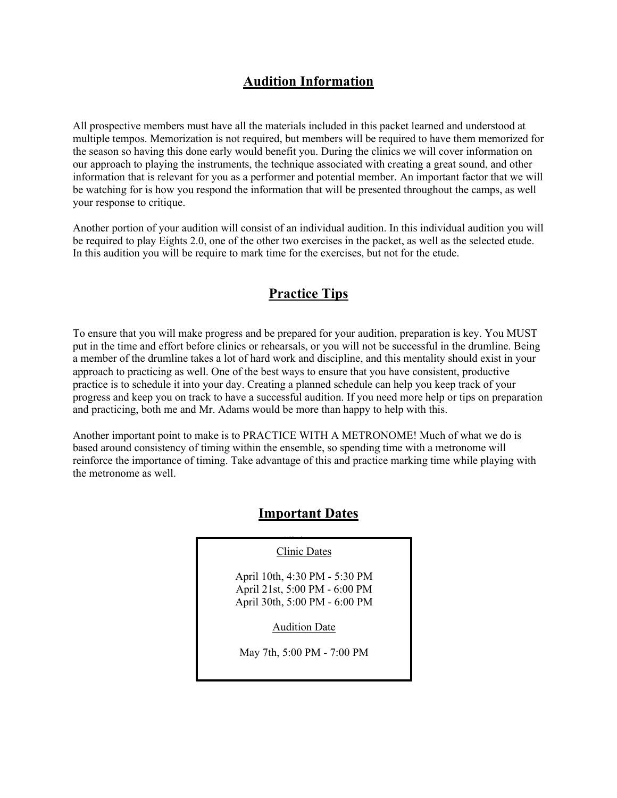## **Audition Information**

All prospective members must have all the materials included in this packet learned and understood at multiple tempos. Memorization is not required, but members will be required to have them memorized for the season so having this done early would benefit you. During the clinics we will cover information on our approach to playing the instruments, the technique associated with creating a great sound, and other information that is relevant for you as a performer and potential member. An important factor that we will be watching for is how you respond the information that will be presented throughout the camps, as well your response to critique.

Another portion of your audition will consist of an individual audition. In this individual audition you will be required to play Eights 2.0, one of the other two exercises in the packet, as well as the selected etude. In this audition you will be require to mark time for the exercises, but not for the etude.

## **Practice Tips**

To ensure that you will make progress and be prepared for your audition, preparation is key. You MUST put in the time and effort before clinics or rehearsals, or you will not be successful in the drumline. Being a member of the drumline takes a lot of hard work and discipline, and this mentality should exist in your approach to practicing as well. One of the best ways to ensure that you have consistent, productive practice is to schedule it into your day. Creating a planned schedule can help you keep track of your progress and keep you on track to have a successful audition. If you need more help or tips on preparation and practicing, both me and Mr. Adams would be more than happy to help with this.

Another important point to make is to PRACTICE WITH A METRONOME! Much of what we do is based around consistency of timing within the ensemble, so spending time with a metronome will reinforce the importance of timing. Take advantage of this and practice marking time while playing with the metronome as well.

### **Important Dates**

#### Clinic Dates Clinic Dates

April 21st, 5:00 PM - 6:00 PM April 10th, 4:30 PM - 5:30 PM April 30th, 5:00 PM - 6:00 PM April 21st, 5:00 PM - 6:00 PM April 30th, 5:00 PM - 6:00 PM

Audition Date

May 7th, 5:00 PM - 7:00 PM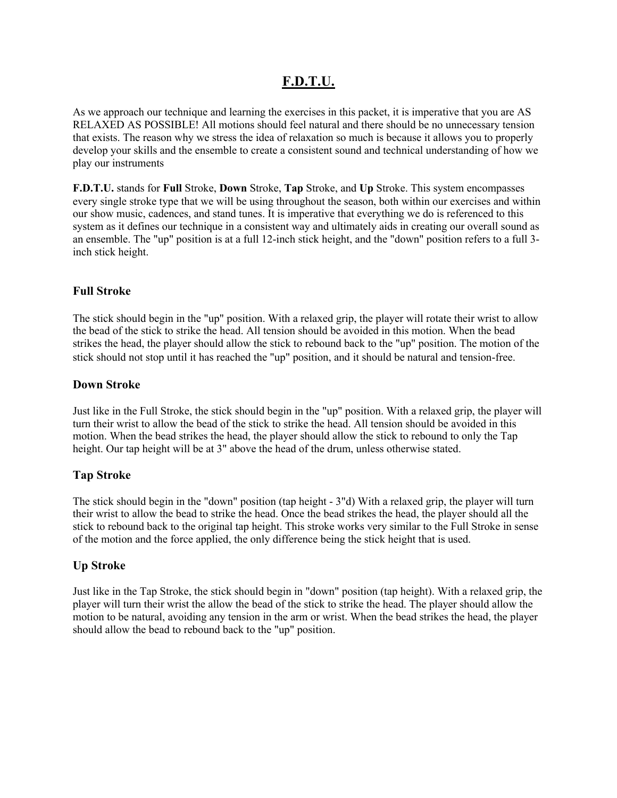## **F.D.T.U.**

As we approach our technique and learning the exercises in this packet, it is imperative that you are AS RELAXED AS POSSIBLE! All motions should feel natural and there should be no unnecessary tension that exists. The reason why we stress the idea of relaxation so much is because it allows you to properly develop your skills and the ensemble to create a consistent sound and technical understanding of how we play our instruments

**F.D.T.U.** stands for **Full** Stroke, **Down** Stroke, **Tap** Stroke, and **Up** Stroke. This system encompasses every single stroke type that we will be using throughout the season, both within our exercises and within our show music, cadences, and stand tunes. It is imperative that everything we do is referenced to this system as it defines our technique in a consistent way and ultimately aids in creating our overall sound as an ensemble. The "up" position is at a full 12-inch stick height, and the "down" position refers to a full 3 inch stick height.

#### **Full Stroke**

The stick should begin in the "up" position. With a relaxed grip, the player will rotate their wrist to allow the bead of the stick to strike the head. All tension should be avoided in this motion. When the bead strikes the head, the player should allow the stick to rebound back to the "up" position. The motion of the stick should not stop until it has reached the "up" position, and it should be natural and tension-free.

#### **Down Stroke**

Just like in the Full Stroke, the stick should begin in the "up" position. With a relaxed grip, the player will turn their wrist to allow the bead of the stick to strike the head. All tension should be avoided in this motion. When the bead strikes the head, the player should allow the stick to rebound to only the Tap height. Our tap height will be at 3" above the head of the drum, unless otherwise stated.

#### **Tap Stroke**

The stick should begin in the "down" position (tap height - 3"d) With a relaxed grip, the player will turn their wrist to allow the bead to strike the head. Once the bead strikes the head, the player should all the stick to rebound back to the original tap height. This stroke works very similar to the Full Stroke in sense of the motion and the force applied, the only difference being the stick height that is used.

#### **Up Stroke**

Just like in the Tap Stroke, the stick should begin in "down" position (tap height). With a relaxed grip, the player will turn their wrist the allow the bead of the stick to strike the head. The player should allow the motion to be natural, avoiding any tension in the arm or wrist. When the bead strikes the head, the player should allow the bead to rebound back to the "up" position.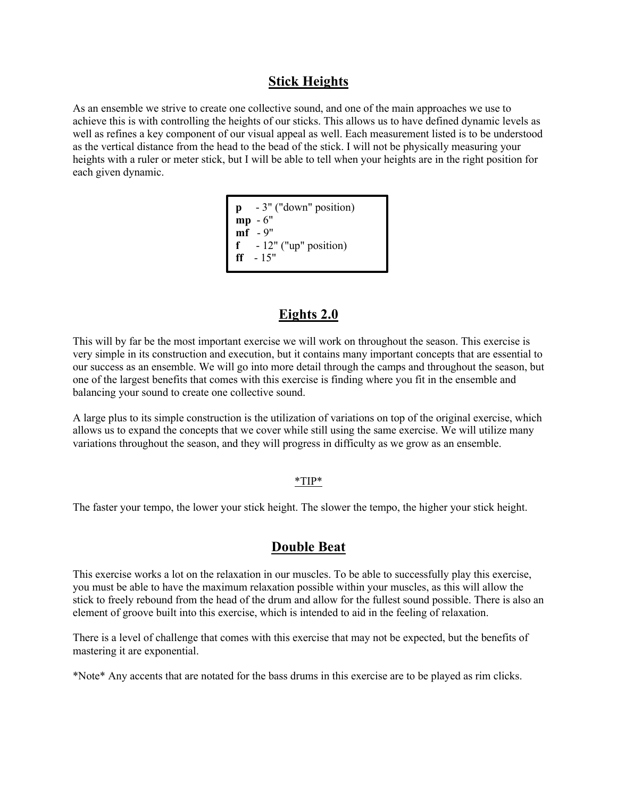### **Stick Heights**

As an ensemble we strive to create one collective sound, and one of the main approaches we use to achieve this is with controlling the heights of our sticks. This allows us to have defined dynamic levels as well as refines a key component of our visual appeal as well. Each measurement listed is to be understood as the vertical distance from the head to the bead of the stick. I will not be physically measuring your heights with a ruler or meter stick, but I will be able to tell when your heights are in the right position for each given dynamic.

| $\mathbf{p}$<br>$mp - 6"$ | - 3" ("down" position)     |
|---------------------------|----------------------------|
| $mf - 9"$                 |                            |
|                           | $f = 12$ " ("up" position) |
| ff                        | $-15"$                     |

## **Eights 2.0**

This will by far be the most important exercise we will work on throughout the season. This exercise is very simple in its construction and execution, but it contains many important concepts that are essential to our success as an ensemble. We will go into more detail through the camps and throughout the season, but one of the largest benefits that comes with this exercise is finding where you fit in the ensemble and balancing your sound to create one collective sound.

A large plus to its simple construction is the utilization of variations on top of the original exercise, which allows us to expand the concepts that we cover while still using the same exercise. We will utilize many variations throughout the season, and they will progress in difficulty as we grow as an ensemble.

#### \*TIP\*

The faster your tempo, the lower your stick height. The slower the tempo, the higher your stick height.

### **Double Beat**

This exercise works a lot on the relaxation in our muscles. To be able to successfully play this exercise, you must be able to have the maximum relaxation possible within your muscles, as this will allow the stick to freely rebound from the head of the drum and allow for the fullest sound possible. There is also an element of groove built into this exercise, which is intended to aid in the feeling of relaxation.

There is a level of challenge that comes with this exercise that may not be expected, but the benefits of mastering it are exponential.

\*Note\* Any accents that are notated for the bass drums in this exercise are to be played as rim clicks.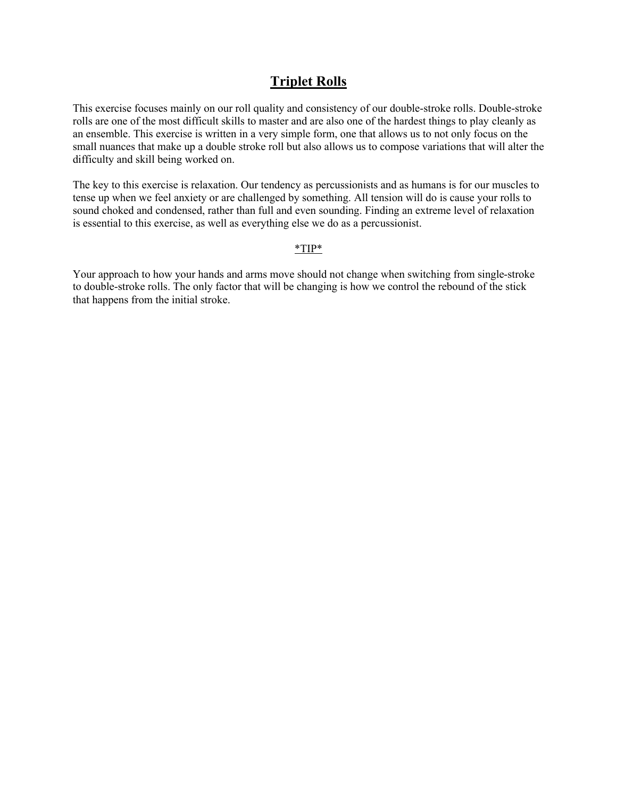### **Triplet Rolls**

This exercise focuses mainly on our roll quality and consistency of our double-stroke rolls. Double-stroke rolls are one of the most difficult skills to master and are also one of the hardest things to play cleanly as an ensemble. This exercise is written in a very simple form, one that allows us to not only focus on the small nuances that make up a double stroke roll but also allows us to compose variations that will alter the difficulty and skill being worked on.

The key to this exercise is relaxation. Our tendency as percussionists and as humans is for our muscles to tense up when we feel anxiety or are challenged by something. All tension will do is cause your rolls to sound choked and condensed, rather than full and even sounding. Finding an extreme level of relaxation is essential to this exercise, as well as everything else we do as a percussionist.

#### \*TIP\*

Your approach to how your hands and arms move should not change when switching from single-stroke to double-stroke rolls. The only factor that will be changing is how we control the rebound of the stick that happens from the initial stroke.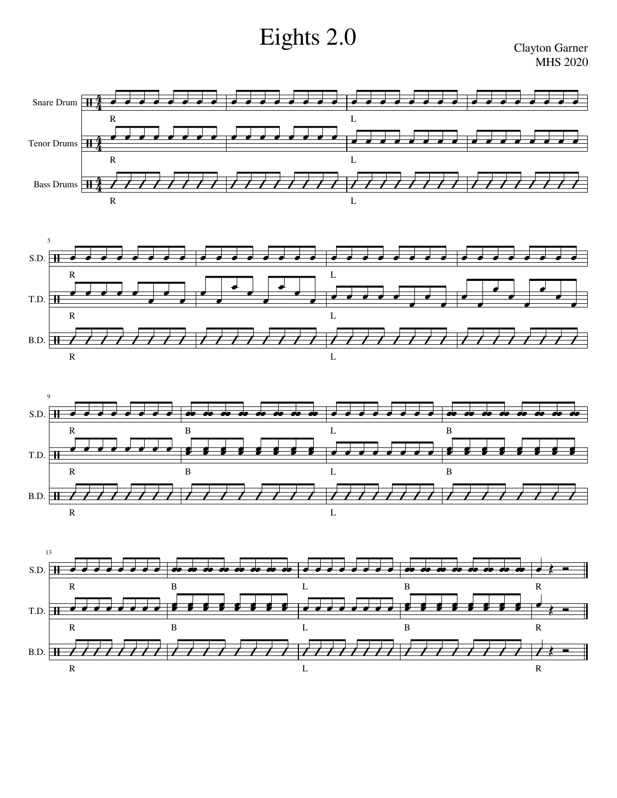## Eights 2.0

Clayton Garner MHS 2020







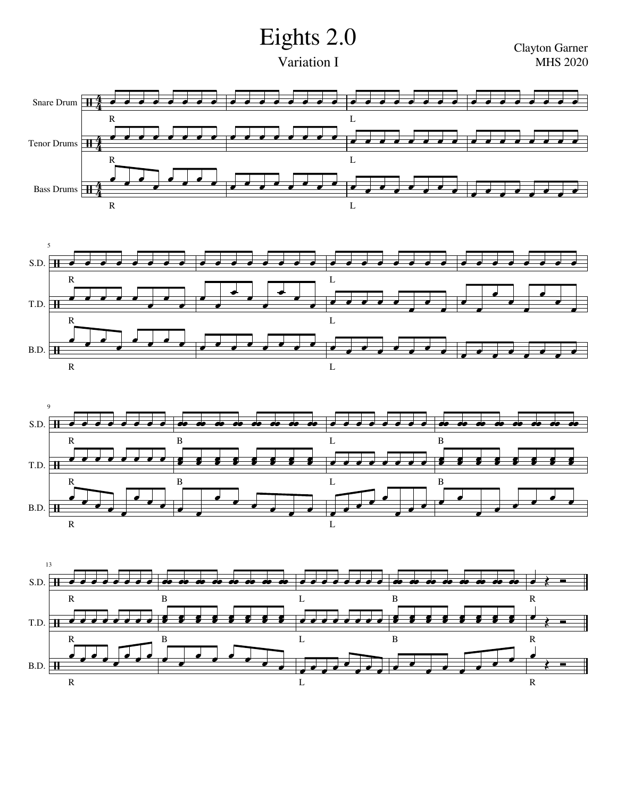# Eights 2.0

Clayton Garner Variation I MHS 2020







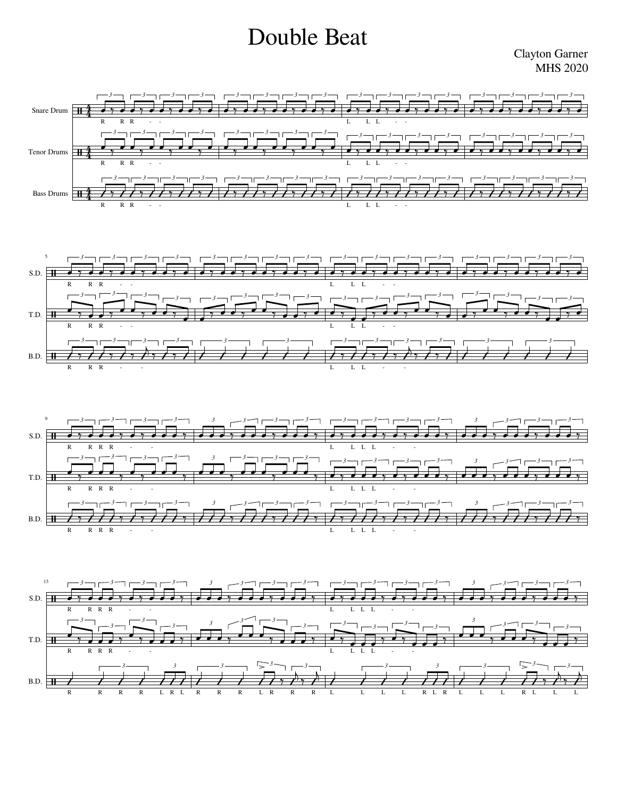## Double Beat

Clayton Garner MHS 2020

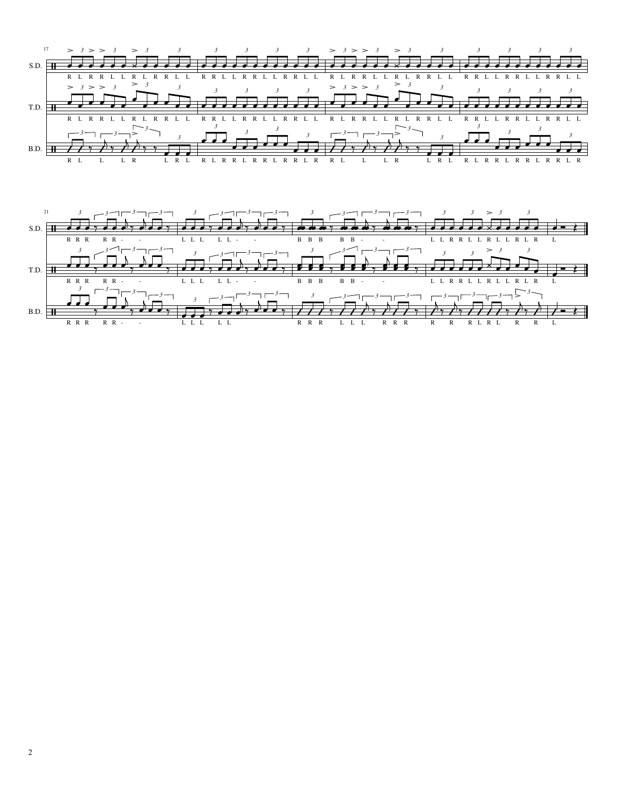